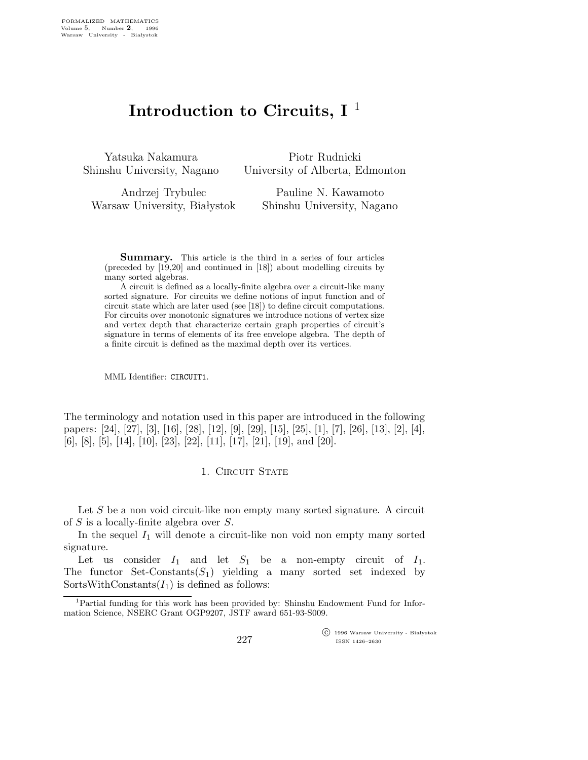# Introduction to Circuits,  $I^{\perp}$

Yatsuka Nakamura Shinshu University, Nagano

Piotr Rudnicki University of Alberta, Edmonton

Andrzej Trybulec Warsaw University, Białystok Pauline N. Kawamoto Shinshu University, Nagano

Summary. This article is the third in a series of four articles (preceded by [19,20] and continued in [18]) about modelling circuits by many sorted algebras.

A circuit is defined as a locally-finite algebra over a circuit-like many sorted signature. For circuits we define notions of input function and of circuit state which are later used (see [18]) to define circuit computations. For circuits over monotonic signatures we introduce notions of vertex size and vertex depth that characterize certain graph properties of circuit's signature in terms of elements of its free envelope algebra. The depth of a finite circuit is defined as the maximal depth over its vertices.

MML Identifier: CIRCUIT1.

The terminology and notation used in this paper are introduced in the following papers: [24], [27], [3], [16], [28], [12], [9], [29], [15], [25], [1], [7], [26], [13], [2], [4], [6], [8], [5], [14], [10], [23], [22], [11], [17], [21], [19], and [20].

### 1. CIRCUIT STATE

Let  $S$  be a non void circuit-like non empty many sorted signature. A circuit of S is a locally-finite algebra over S.

In the sequel  $I_1$  will denote a circuit-like non void non empty many sorted signature.

Let us consider  $I_1$  and let  $S_1$  be a non-empty circuit of  $I_1$ . The functor Set-Constants $(S_1)$  yielding a many sorted set indexed by SortsWithConstants $(I_1)$  is defined as follows:

 c 1996 Warsaw University - Bia lystok ISSN 1426–2630

<sup>&</sup>lt;sup>1</sup>Partial funding for this work has been provided by: Shinshu Endowment Fund for Information Science, NSERC Grant OGP9207, JSTF award 651-93-S009.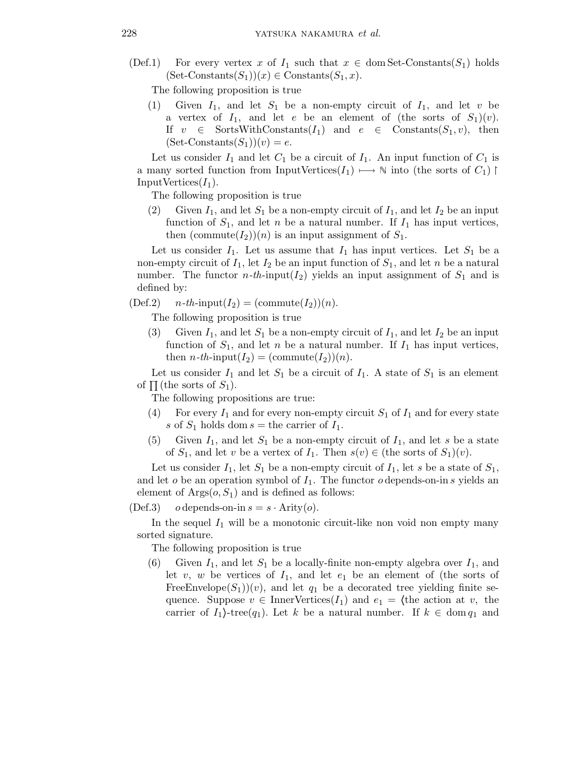(Def.1) For every vertex x of  $I_1$  such that  $x \in \text{dom Set-Constants}(S_1)$  holds  $(Set-Constraints(S_1))(x) \in Constants(S_1, x).$ 

The following proposition is true

Given  $I_1$ , and let  $S_1$  be a non-empty circuit of  $I_1$ , and let v be a vertex of  $I_1$ , and let e be an element of (the sorts of  $S_1)(v)$ . If  $v \in$  SortsWithConstants $(I_1)$  and  $e \in$  Constants $(S_1, v)$ , then  $(Set-Constraints(S_1))(v) = e.$ 

Let us consider  $I_1$  and let  $C_1$  be a circuit of  $I_1$ . An input function of  $C_1$  is a many sorted function from InputVertices( $I_1$ )  $\mapsto \mathbb{N}$  into (the sorts of  $C_1$ ) | Input Vertices $(I_1)$ .

The following proposition is true

(2) Given  $I_1$ , and let  $S_1$  be a non-empty circuit of  $I_1$ , and let  $I_2$  be an input function of  $S_1$ , and let n be a natural number. If  $I_1$  has input vertices, then  $(commute(I_2))(n)$  is an input assignment of  $S_1$ .

Let us consider  $I_1$ . Let us assume that  $I_1$  has input vertices. Let  $S_1$  be a non-empty circuit of  $I_1$ , let  $I_2$  be an input function of  $S_1$ , and let n be a natural number. The functor  $n-th$ -input( $I_2$ ) yields an input assignment of  $S_1$  and is defined by:

 $(Def.2)$   $n-th-*input*(I<sub>2</sub>) = (commute(I<sub>2</sub>))(n).$ 

The following proposition is true

(3) Given  $I_1$ , and let  $S_1$  be a non-empty circuit of  $I_1$ , and let  $I_2$  be an input function of  $S_1$ , and let n be a natural number. If  $I_1$  has input vertices, then  $n$ -th-input( $I_2$ ) = (commute( $I_2$ ))(n).

Let us consider  $I_1$  and let  $S_1$  be a circuit of  $I_1$ . A state of  $S_1$  is an element of  $\Pi$  (the sorts of  $S_1$ ).

The following propositions are true:

- (4) For every  $I_1$  and for every non-empty circuit  $S_1$  of  $I_1$  and for every state s of  $S_1$  holds dom  $s =$  the carrier of  $I_1$ .
- (5) Given  $I_1$ , and let  $S_1$  be a non-empty circuit of  $I_1$ , and let s be a state of  $S_1$ , and let v be a vertex of  $I_1$ . Then  $s(v) \in$  (the sorts of  $S_1)(v)$ .

Let us consider  $I_1$ , let  $S_1$  be a non-empty circuit of  $I_1$ , let s be a state of  $S_1$ , and let  $o$  be an operation symbol of  $I_1$ . The functor  $o$  depends-on-in  $s$  yields an element of  $\text{Arg}(o, S_1)$  and is defined as follows:

(Def.3) o depends-on-in  $s = s \cdot$  Arity(o).

In the sequel  $I_1$  will be a monotonic circuit-like non void non empty many sorted signature.

The following proposition is true

(6) Given  $I_1$ , and let  $S_1$  be a locally-finite non-empty algebra over  $I_1$ , and let  $v, w$  be vertices of  $I_1$ , and let  $e_1$  be an element of (the sorts of FreeEnvelope( $S_1$ ))(v), and let  $q_1$  be a decorated tree yielding finite sequence. Suppose  $v \in \text{InnerVertices}(I_1)$  and  $e_1 = \langle \text{the action at } v, \text{ the} \rangle$ carrier of  $I_1$ -tree( $q_1$ ). Let k be a natural number. If  $k \in \text{dom } q_1$  and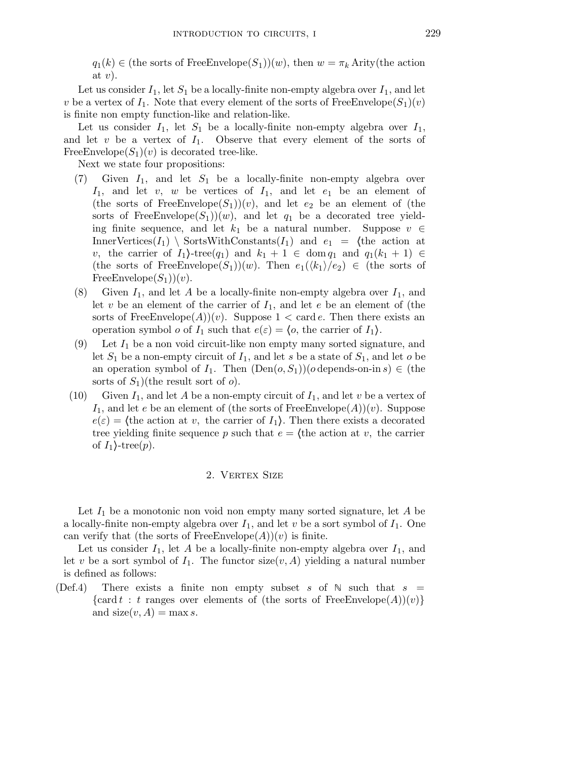$q_1(k) \in$  (the sorts of FreeEnvelope(S<sub>1</sub>))(w), then  $w = \pi_k$  Arity(the action at  $v$ ).

Let us consider  $I_1$ , let  $S_1$  be a locally-finite non-empty algebra over  $I_1$ , and let v be a vertex of  $I_1$ . Note that every element of the sorts of FreeEnvelope $(S_1)(v)$ is finite non empty function-like and relation-like.

Let us consider  $I_1$ , let  $S_1$  be a locally-finite non-empty algebra over  $I_1$ , and let  $v$  be a vertex of  $I_1$ . Observe that every element of the sorts of FreeEnvelope $(S_1)(v)$  is decorated tree-like.

Next we state four propositions:

- (7) Given  $I_1$ , and let  $S_1$  be a locally-finite non-empty algebra over  $I_1$ , and let v, w be vertices of  $I_1$ , and let  $e_1$  be an element of (the sorts of FreeEnvelope( $S_1$ ))(v), and let  $e_2$  be an element of (the sorts of FreeEnvelope $(S_1)(w)$ , and let  $q_1$  be a decorated tree yielding finite sequence, and let  $k_1$  be a natural number. Suppose  $v \in$ InnerVertices $(I_1)$  SortsWithConstants $(I_1)$  and  $e_1 =$  (the action at v, the carrier of  $I_1$ -tree $(q_1)$  and  $k_1 + 1 \in \text{dom } q_1$  and  $q_1(k_1 + 1) \in$ (the sorts of FreeEnvelope(S<sub>1</sub>))(w). Then  $e_1(\langle k_1 \rangle/e_2) \in$  (the sorts of FreeEnvelope $(S_1)(v)$ .
- (8) Given  $I_1$ , and let A be a locally-finite non-empty algebra over  $I_1$ , and let v be an element of the carrier of  $I_1$ , and let e be an element of (the sorts of FreeEnvelope(A))(v). Suppose  $1 < \text{card } e$ . Then there exists an operation symbol *o* of  $I_1$  such that  $e(\varepsilon) = \langle o, v \rangle$  the carrier of  $I_1$ .
- (9) Let  $I_1$  be a non void circuit-like non empty many sorted signature, and let  $S_1$  be a non-empty circuit of  $I_1$ , and let s be a state of  $S_1$ , and let s be an operation symbol of  $I_1$ . Then  $(Den(o, S_1))(o$  depends-on-in  $s) \in (the$ sorts of  $S_1$ )(the result sort of  $o$ ).
- (10) Given  $I_1$ , and let A be a non-empty circuit of  $I_1$ , and let v be a vertex of  $I_1$ , and let e be an element of (the sorts of FreeEnvelope(A))(v). Suppose  $e(\varepsilon) =$  (the action at v, the carrier of  $I_1$ ). Then there exists a decorated tree yielding finite sequence p such that  $e = \langle$  the action at v, the carrier of  $I_1$ -tree(p).

## 2. VERTEX SIZE

Let  $I_1$  be a monotonic non void non empty many sorted signature, let A be a locally-finite non-empty algebra over  $I_1$ , and let v be a sort symbol of  $I_1$ . One can verify that (the sorts of FreeEnvelope $(A)(v)$  is finite.

Let us consider  $I_1$ , let A be a locally-finite non-empty algebra over  $I_1$ , and let v be a sort symbol of  $I_1$ . The functor size(v, A) yielding a natural number is defined as follows:

(Def.4) There exists a finite non empty subset s of  $\mathbb N$  such that  $s =$ {card t : t ranges over elements of (the sorts of FreeEnvelope(A))(v)} and  $size(v, A) = \max s$ .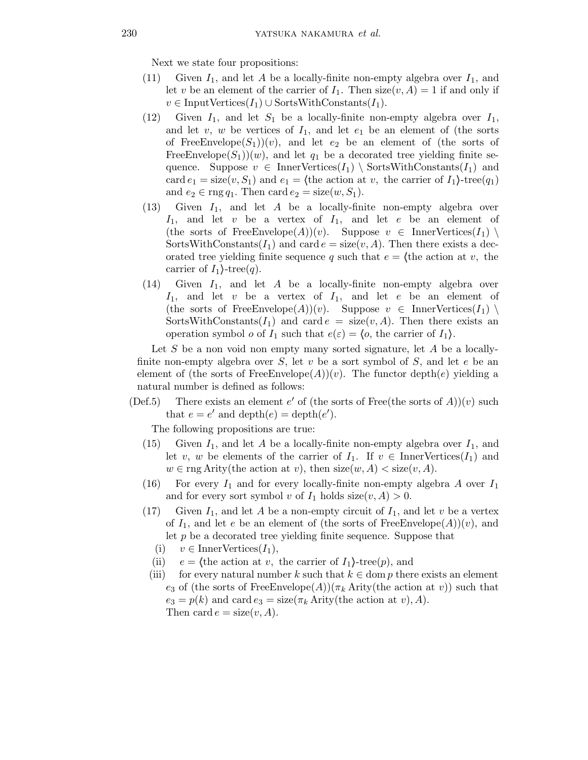Next we state four propositions:

- (11) Given  $I_1$ , and let A be a locally-finite non-empty algebra over  $I_1$ , and let v be an element of the carrier of  $I_1$ . Then size $(v, A) = 1$  if and only if  $v \in \text{InputVertices}(I_1) \cup \text{SortsWithConstraints}(I_1).$
- (12) Given  $I_1$ , and let  $S_1$  be a locally-finite non-empty algebra over  $I_1$ , and let  $v, w$  be vertices of  $I_1$ , and let  $e_1$  be an element of (the sorts of FreeEnvelope(S<sub>1</sub>))(v), and let  $e_2$  be an element of (the sorts of FreeEnvelope( $S_1$ ))(w), and let  $q_1$  be a decorated tree yielding finite sequence. Suppose  $v \in \text{InnerVertices}(I_1) \setminus \text{SortsWithConstants}(I_1)$  and card  $e_1 = \text{size}(v, S_1)$  and  $e_1 =$  (the action at v, the carrier of  $I_1$ )-tree( $q_1$ ) and  $e_2 \in \text{rng } q_1$ . Then card  $e_2 = \text{size}(w, S_1)$ .
- (13) Given  $I_1$ , and let A be a locally-finite non-empty algebra over  $I_1$ , and let v be a vertex of  $I_1$ , and let e be an element of (the sorts of FreeEnvelope(A))(v). Suppose  $v \in$  InnerVertices( $I_1$ ) \ SortsWithConstants $(I_1)$  and card  $e = size(v, A)$ . Then there exists a decorated tree yielding finite sequence q such that  $e = \langle \text{the action at } v, \text{ the} \rangle$ carrier of  $I_1$ }-tree(q).
- (14) Given  $I_1$ , and let A be a locally-finite non-empty algebra over  $I_1$ , and let v be a vertex of  $I_1$ , and let e be an element of (the sorts of FreeEnvelope(A))(v). Suppose  $v \in \text{InnerVertices}(I_1)$ SortsWithConstants $(I_1)$  and card  $e = \text{size}(v, A)$ . Then there exists an operation symbol *o* of  $I_1$  such that  $e(\varepsilon) = \langle o, v \rangle$  the carrier of  $I_1$ .

Let S be a non void non empty many sorted signature, let A be a locallyfinite non-empty algebra over S, let v be a sort symbol of S, and let  $e$  be an element of (the sorts of FreeEnvelope(A))(v). The functor depth(e) yielding a natural number is defined as follows:

(Def.5) There exists an element  $e'$  of (the sorts of Free(the sorts of  $A$ ))(v) such that  $e = e'$  and  $\text{depth}(e) = \text{depth}(e').$ 

The following propositions are true:

- (15) Given  $I_1$ , and let A be a locally-finite non-empty algebra over  $I_1$ , and let v, w be elements of the carrier of  $I_1$ . If  $v \in$  InnerVertices $(I_1)$  and  $w \in \text{rng}$  Arity(the action at v), then  $size(w, A) < size(v, A)$ .
- (16) For every  $I_1$  and for every locally-finite non-empty algebra A over  $I_1$ and for every sort symbol v of  $I_1$  holds size $(v, A) > 0$ .
- (17) Given  $I_1$ , and let A be a non-empty circuit of  $I_1$ , and let v be a vertex of  $I_1$ , and let e be an element of (the sorts of FreeEnvelope(A))(v), and let p be a decorated tree yielding finite sequence. Suppose that
	- (i)  $v \in \text{InnerVertices}(I_1),$
	- (ii)  $e = \langle \text{the action at } v, \text{ the carrier of } I_1 \rangle \text{-tree}(p), \text{ and}$
	- (iii) for every natural number k such that  $k \in \text{dom } p$  there exists an element e<sub>3</sub> of (the sorts of FreeEnvelope(A))( $\pi_k$  Arity(the action at v)) such that  $e_3 = p(k)$  and card  $e_3 = \text{size}(\pi_k \text{Arity}$  (the action at v), A). Then card  $e = size(v, A)$ .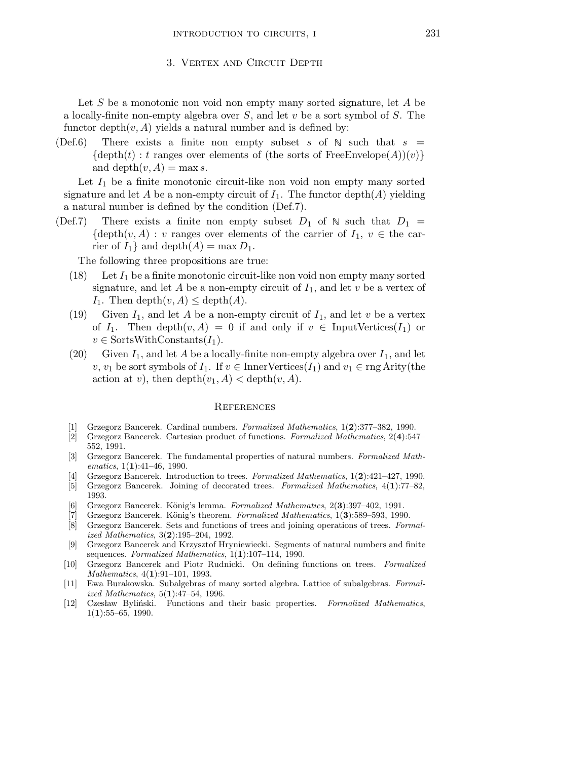#### 3. Vertex and Circuit Depth

Let S be a monotonic non void non empty many sorted signature, let A be a locally-finite non-empty algebra over  $S$ , and let  $v$  be a sort symbol of  $S$ . The functor depth $(v, A)$  yields a natural number and is defined by:

(Def.6) There exists a finite non empty subset s of  $\mathbb N$  such that  $s =$  $\{\text{depth}(t): t \text{ ranges over elements of (the sorts of FreeEnvelope}(A))(v)\}\$ and depth $(v, A) = \max s$ .

Let  $I_1$  be a finite monotonic circuit-like non void non empty many sorted signature and let A be a non-empty circuit of  $I_1$ . The functor depth $(A)$  yielding a natural number is defined by the condition (Def.7).

(Def.7) There exists a finite non empty subset  $D_1$  of  $\mathbb N$  such that  $D_1$  =  $\{\text{depth}(v, A) : v \text{ ranges over elements of the carrier of } I_1, v \in \text{the car-}$ rier of  $I_1$  and depth $(A) = \max D_1$ .

The following three propositions are true:

- (18) Let  $I_1$  be a finite monotonic circuit-like non void non empty many sorted signature, and let A be a non-empty circuit of  $I_1$ , and let v be a vertex of  $I_1$ . Then depth $(v, A) \leq$  depth $(A)$ .
- (19) Given  $I_1$ , and let A be a non-empty circuit of  $I_1$ , and let v be a vertex of  $I_1$ . Then depth $(v, A) = 0$  if and only if  $v \in \text{InputVertices}(I_1)$  or  $v \in$  SortsWithConstants $(I_1)$ .
- (20) Given  $I_1$ , and let A be a locally-finite non-empty algebra over  $I_1$ , and let v,  $v_1$  be sort symbols of  $I_1$ . If  $v \in$  InnerVertices( $I_1$ ) and  $v_1 \in$  rng Arity(the action at v), then  $\operatorname{depth}(v_1, A) < \operatorname{depth}(v, A)$ .

#### **REFERENCES**

- [1] Grzegorz Bancerek. Cardinal numbers. Formalized Mathematics, 1(2):377–382, 1990.
- [2] Grzegorz Bancerek. Cartesian product of functions. Formalized Mathematics, 2(4):547– 552, 1991.
- [3] Grzegorz Bancerek. The fundamental properties of natural numbers. Formalized Mathematics,  $1(1):41-46$ , 1990.
- [4] Grzegorz Bancerek. Introduction to trees. Formalized Mathematics, 1(2):421–427, 1990.
- [5] Grzegorz Bancerek. Joining of decorated trees. Formalized Mathematics, 4(1):77–82, 1993.
- [6] Grzegorz Bancerek. König's lemma. Formalized Mathematics,  $2(3):397-402$ , 1991.
- [7] Grzegorz Bancerek. König's theorem. Formalized Mathematics, 1(3):589–593, 1990.
- [8] Grzegorz Bancerek. Sets and functions of trees and joining operations of trees. Formalized Mathematics, 3(2):195–204, 1992.
- [9] Grzegorz Bancerek and Krzysztof Hryniewiecki. Segments of natural numbers and finite sequences. Formalized Mathematics, 1(1):107-114, 1990.
- [10] Grzegorz Bancerek and Piotr Rudnicki. On defining functions on trees. Formalized Mathematics, 4(1):91-101, 1993.
- [11] Ewa Burakowska. Subalgebras of many sorted algebra. Lattice of subalgebras. Formalized Mathematics, 5(1):47–54, 1996.
- [12] Czesław Byliński. Functions and their basic properties. Formalized Mathematics,  $1(1):55-65, 1990.$